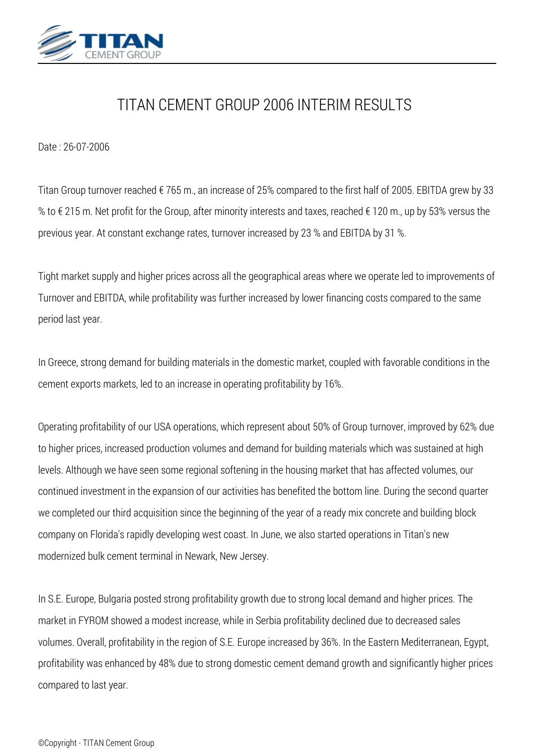

## *TITAN CEMENT GROUP 2006 INTERIM RESULTS*

*Date : 26-07-2006*

*Titan Group turnover reached € 765 m., an increase of 25% compared to the first half of 2005. EBITDA grew by 33 % to € 215 m. Net profit for the Group, after minority interests and taxes, reached € 120 m., up by 53% versus the previous year. At constant exchange rates, turnover increased by 23 % and EBITDA by 31 %.*

*Tight market supply and higher prices across all the geographical areas where we operate led to improvements of Turnover and EBITDA, while profitability was further increased by lower financing costs compared to the same period last year.*

*In Greece, strong demand for building materials in the domestic market, coupled with favorable conditions in the cement exports markets, led to an increase in operating profitability by 16%.*

*Operating profitability of our USA operations, which represent about 50% of Group turnover, improved by 62% due to higher prices, increased production volumes and demand for building materials which was sustained at high levels. Although we have seen some regional softening in the housing market that has affected volumes, our continued investment in the expansion of our activities has benefited the bottom line. During the second quarter we completed our third acquisition since the beginning of the year of a ready mix concrete and building block company on Florida's rapidly developing west coast. In June, we also started operations in Titan's new modernized bulk cement terminal in Newark, New Jersey.*

*In S.E. Europe, Bulgaria posted strong profitability growth due to strong local demand and higher prices. The market in FYROM showed a modest increase, while in Serbia profitability declined due to decreased sales volumes. Overall, profitability in the region of S.E. Europe increased by 36%. In the Eastern Mediterranean, Egypt, profitability was enhanced by 48% due to strong domestic cement demand growth and significantly higher prices compared to last year.*